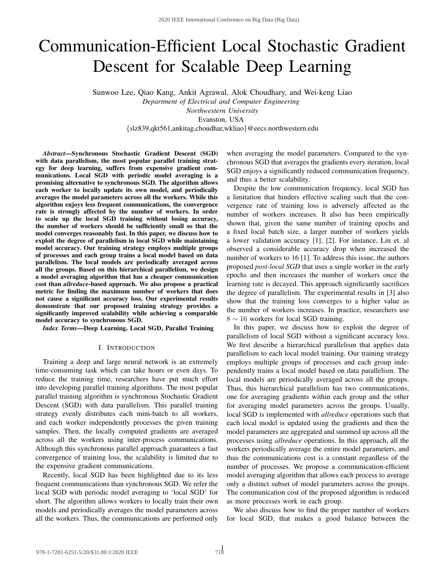# Communication-Efficient Local Stochastic Gradient Descent for Scalable Deep Learning

Sunwoo Lee, Qiao Kang, Ankit Agrawal, Alok Choudhary, and Wei-keng Liao

*Department of Electrical and Computer Engineering Northwestern University*

Evanston, USA

{slz839,qkt561,ankitag,choudhar,wkliao}@eecs.northwestern.edu

*Abstract*—Synchronous Stochastic Gradient Descent (SGD) with data parallelism, the most popular parallel training strategy for deep learning, suffers from expensive gradient communications. Local SGD with periodic model averaging is a promising alternative to synchronous SGD. The algorithm allows each worker to locally update its own model, and periodically averages the model parameters across all the workers. While this algorithm enjoys less frequent communications, the convergence rate is strongly affected by the number of workers. In order to scale up the local SGD training without losing accuracy, the number of workers should be sufficiently small so that the model converges reasonably fast. In this paper, we discuss how to exploit the degree of parallelism in local SGD while maintaining model accuracy. Our training strategy employs multiple groups of processes and each group trains a local model based on data parallelism. The local models are periodically averaged across all the groups. Based on this hierarchical parallelism, we design a model averaging algorithm that has a cheaper communication cost than *allreduce*-based approach. We also propose a practical metric for finding the maximum number of workers that does not cause a significant accuracy loss. Our experimental results demonstrate that our proposed training strategy provides a significantly improved scalability while achieving a comparable model accuracy to synchronous SGD.

*Index Terms*—Deep Learning, Local SGD, Parallel Training

## I. INTRODUCTION

Training a deep and large neural network is an extremely time-consuming task which can take hours or even days. To reduce the training time, researchers have put much effort into developing parallel training algorithms. The most popular parallel training algorithm is synchronous Stochastic Gradient Descent (SGD) with data parallelism. This parallel training strategy evenly distributes each mini-batch to all workers, and each worker independently processes the given training samples. Then, the locally computed gradients are averaged across all the workers using inter-process communications. Although this synchronous parallel approach guarantees a fast convergence of training loss, the scalability is limited due to the expensive gradient communications.

Recently, local SGD has been highlighted due to its less frequent communications than synchronous SGD. We refer the local SGD with periodic model averaging to 'local SGD' for short. The algorithm allows workers to locally train their own models and periodically averages the model parameters across all the workers. Thus, the communications are performed only when averaging the model parameters. Compared to the synchronous SGD that averages the gradients every iteration, local SGD enjoys a significantly reduced communication frequency, and thus a better scalability.

Despite the low communication frequency, local SGD has a limitation that hinders effective scaling such that the convergence rate of training loss is adversely affected as the number of workers increases. It also has been empirically shown that, given the same number of training epochs and a fixed local batch size, a larger number of workers yields a lower validation accuracy [1], [2]. For instance, Lin et. al observed a considerable accuracy drop when increased the number of workers to 16 [1]. To address this issue, the authors proposed *post-local SGD* that uses a single worker in the early epochs and then increases the number of workers once the learning rate is decayed. This approach significantly sacrifices the degree of parallelism. The experimental results in [3] also show that the training loss converges to a higher value as the number of workers increases. In practice, researchers use 8 ∼ 16 workers for local SGD training.

In this paper, we discuss how to exploit the degree of parallelism of local SGD without a significant accuracy loss. We first describe a hierarchical parallelism that applies data parallelism to each local model training. Our training strategy employs multiple groups of processes and each group independently trains a local model based on data parallelism. The local models are periodically averaged across all the groups. Thus, this hierarchical parallelism has two communications, one for averaging gradients within each group and the other for averaging model parameters across the groups. Usually, local SGD is implemented with *allreduce* operations such that each local model is updated using the gradients and then the model parameters are aggregated and summed up across all the processes using *allreduce* operations. In this approach, all the workers periodically average the entire model parameters, and thus the communications cost is a constant regardless of the number of processes. We propose a communication-efficient model averaging algorithm that allows each process to average only a distinct subset of model parameters across the groups. The communication cost of the proposed algorithm is reduced as more processes work in each group.

We also discuss how to find the proper number of workers for local SGD, that makes a good balance between the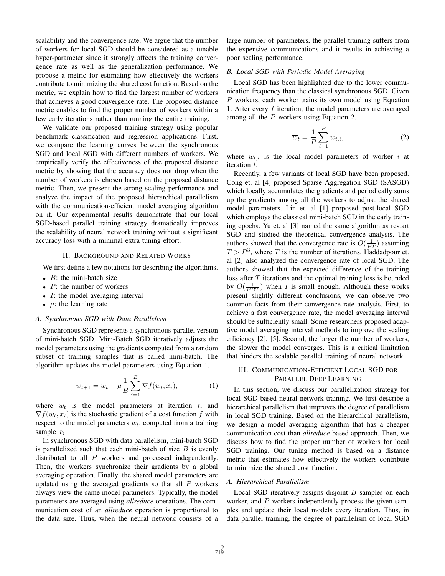scalability and the convergence rate. We argue that the number of workers for local SGD should be considered as a tunable hyper-parameter since it strongly affects the training convergence rate as well as the generalization performance. We propose a metric for estimating how effectively the workers contribute to minimizing the shared cost function. Based on the metric, we explain how to find the largest number of workers that achieves a good convergence rate. The proposed distance metric enables to find the proper number of workers within a few early iterations rather than running the entire training.

We validate our proposed training strategy using popular benchmark classification and regression applications. First, we compare the learning curves between the synchronous SGD and local SGD with different numbers of workers. We empirically verify the effectiveness of the proposed distance metric by showing that the accuracy does not drop when the number of workers is chosen based on the proposed distance metric. Then, we present the strong scaling performance and analyze the impact of the proposed hierarchical parallelism with the communication-efficient model averaging algorithm on it. Our experimental results demonstrate that our local SGD-based parallel training strategy dramatically improves the scalability of neural network training without a significant accuracy loss with a minimal extra tuning effort.

# II. BACKGROUND AND RELATED WORKS

We first define a few notations for describing the algorithms.

- $B$ : the mini-batch size
- $P$ : the number of workers
- $\bullet$  *I*: the model averaging interval
- $\mu$ : the learning rate

## *A. Synchronous SGD with Data Parallelism*

Synchronous SGD represents a synchronous-parallel version of mini-batch SGD. Mini-Batch SGD iteratively adjusts the model parameters using the gradients computed from a random subset of training samples that is called mini-batch. The algorithm updates the model parameters using Equation 1.

$$
w_{t+1} = w_t - \mu \frac{1}{B} \sum_{i=1}^{B} \nabla f(w_t, x_i), \tag{1}
$$

where  $w_t$  is the model parameters at iteration  $t$ , and  $\nabla f(w_t, x_i)$  is the stochastic gradient of a cost function f with respect to the model parameters  $w_t$ , computed from a training sample  $x_i$ .

In synchronous SGD with data parallelism, mini-batch SGD is parallelized such that each mini-batch of size  $B$  is evenly distributed to all P workers and processed independently. Then, the workers synchronize their gradients by a global averaging operation. Finally, the shared model parameters are updated using the averaged gradients so that all  $P$  workers always view the same model parameters. Typically, the model parameters are averaged using *allreduce* operations. The communication cost of an *allreduce* operation is proportional to the data size. Thus, when the neural network consists of a large number of parameters, the parallel training suffers from the expensive communications and it results in achieving a poor scaling performance.

# *B. Local SGD with Periodic Model Averaging*

Local SGD has been highlighted due to the lower communication frequency than the classical synchronous SGD. Given P workers, each worker trains its own model using Equation 1. After every I iteration, the model parameters are averaged among all the P workers using Equation 2.

$$
\overline{w}_t = \frac{1}{P} \sum_{i=1}^P w_{t,i},\tag{2}
$$

where  $w_{t,i}$  is the local model parameters of worker i at iteration t.

Recently, a few variants of local SGD have been proposed. Cong et. al [4] proposed Sparse Aggregation SGD (SASGD) which locally accumulates the gradients and periodically sums up the gradients among all the workers to adjust the shared model parameters. Lin et. al [1] proposed post-local SGD which employs the classical mini-batch SGD in the early training epochs. Yu et. al [3] named the same algorithm as restart SGD and studied the theoretical convergence analysis. The authors showed that the convergence rate is  $O(\frac{1}{PT})$  assuming  $T > P<sup>3</sup>$ , where T is the number of iterations. Haddadpour et. al [2] also analyzed the convergence rate of local SGD. The authors showed that the expected difference of the training loss after T iterations and the optimal training loss is bounded by  $O(\frac{1}{PBT})$  when I is small enough. Although these works present slightly different conclusions, we can observe two common facts from their convergence rate analysis. First, to achieve a fast convergence rate, the model averaging interval should be sufficiently small. Some researchers proposed adaptive model averaging interval methods to improve the scaling efficiency [2], [5]. Second, the larger the number of workers, the slower the model converges. This is a critical limitation that hinders the scalable parallel training of neural network.

### III. COMMUNICATION-EFFICIENT LOCAL SGD FOR PARALLEL DEEP LEARNING

In this section, we discuss our parallelization strategy for local SGD-based neural network training. We first describe a hierarchical parallelism that improves the degree of parallelism in local SGD training. Based on the hierarchical parallelism, we design a model averaging algorithm that has a cheaper communication cost than *allreduce*-based approach. Then, we discuss how to find the proper number of workers for local SGD training. Our tuning method is based on a distance metric that estimates how effectively the workers contribute to minimize the shared cost function.

#### *A. Hierarchical Parallelism*

Local SGD iteratively assigns disjoint  $B$  samples on each worker, and P workers independently process the given samples and update their local models every iteration. Thus, in data parallel training, the degree of parallelism of local SGD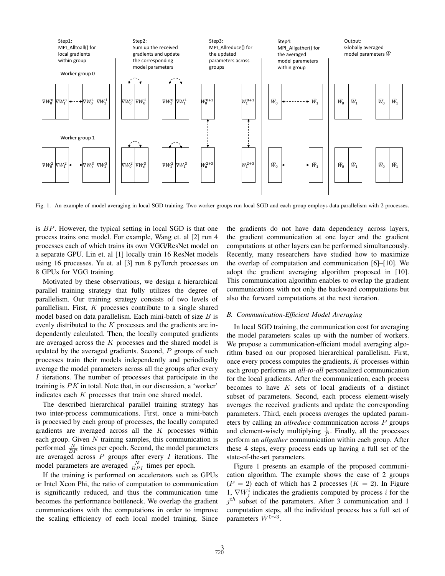

Fig. 1. An example of model averaging in local SGD training. Two worker groups run local SGD and each group employs data parallelism with 2 processes.

is BP. However, the typical setting in local SGD is that one process trains one model. For example, Wang et. al [2] run 4 processes each of which trains its own VGG/ResNet model on a separate GPU. Lin et. al [1] locally train 16 ResNet models using 16 processes. Yu et. al [3] run 8 pyTorch processes on 8 GPUs for VGG training.

Motivated by these observations, we design a hierarchical parallel training strategy that fully utilizes the degree of parallelism. Our training strategy consists of two levels of parallelism. First,  $K$  processes contribute to a single shared model based on data parallelism. Each mini-batch of size  $B$  is evenly distributed to the  $K$  processes and the gradients are independently calculated. Then, the locally computed gradients are averaged across the  $K$  processes and the shared model is updated by the averaged gradients. Second,  $P$  groups of such processes train their models independently and periodically average the model parameters across all the groups after every I iterations. The number of processes that participate in the training is  $PK$  in total. Note that, in our discussion, a 'worker' indicates each  $K$  processes that train one shared model.

The described hierarchical parallel training strategy has two inter-process communications. First, once a mini-batch is processed by each group of processes, the locally computed gradients are averaged across all the  $K$  processes within each group. Given  $N$  training samples, this communication is performed  $\frac{N}{BP}$  times per epoch. Second, the model parameters are averaged across  $P$  groups after every  $I$  iterations. The model parameters are averaged  $\frac{N}{BPI}$  times per epoch.

If the training is performed on accelerators such as GPUs or Intel Xeon Phi, the ratio of computation to communication is significantly reduced, and thus the communication time becomes the performance bottleneck. We overlap the gradient communications with the computations in order to improve the scaling efficiency of each local model training. Since the gradients do not have data dependency across layers, the gradient communication at one layer and the gradient computations at other layers can be performed simultaneously. Recently, many researchers have studied how to maximize the overlap of computation and communication [6]–[10]. We adopt the gradient averaging algorithm proposed in [10]. This communication algorithm enables to overlap the gradient communications with not only the backward computations but also the forward computations at the next iteration.

# *B. Communication-Efficient Model Averaging*

In local SGD training, the communication cost for averaging the model parameters scales up with the number of workers. We propose a communication-efficient model averaging algorithm based on our proposed hierarchical parallelism. First, once every process computes the gradients, K processes within each group performs an *all-to-all* personalized communication for the local gradients. After the communication, each process becomes to have  $K$  sets of local gradients of a distinct subset of parameters. Second, each process element-wisely averages the received gradients and update the corresponding parameters. Third, each process averages the updated parameters by calling an *allreduce* communication across P groups and element-wisely multiplying  $\frac{1}{p}$ . Finally, all the processes perform an *allgather* communication within each group. After these 4 steps, every process ends up having a full set of the state-of-the-art parameters.

Figure 1 presents an example of the proposed communication algorithm. The example shows the case of 2 groups  $(P = 2)$  each of which has 2 processes  $(K = 2)$ . In Figure 1,  $\nabla W_j^i$  indicates the gradients computed by process i for the  $j<sup>th</sup>$  subset of the parameters. After 3 communication and 1 computation steps, all the individual process has a full set of parameters  $\bar{W}^{0\sim 3}$ .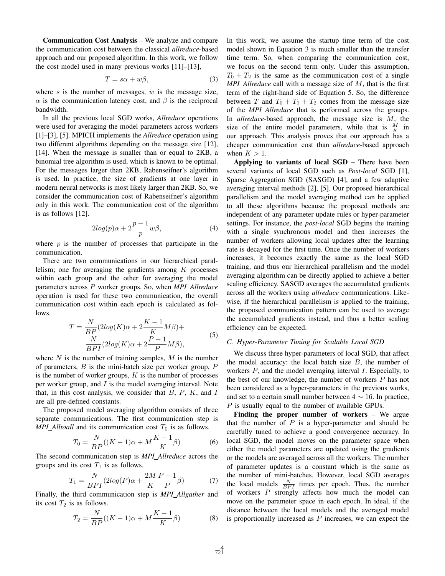Communication Cost Analysis – We analyze and compare the communication cost between the classical *allreduce*-based approach and our proposed algorithm. In this work, we follow the cost model used in many previous works [11]–[13],

$$
T = s\alpha + w\beta,\tag{3}
$$

where s is the number of messages,  $w$  is the message size,  $\alpha$  is the communication latency cost, and  $\beta$  is the reciprocal bandwidth.

In all the previous local SGD works, *Allreduce* operations were used for averaging the model parameters across workers [1]–[3], [5]. MPICH implements the *Allreduce* operation using two different algorithms depending on the message size [12], [14]. When the message is smaller than or equal to 2KB, a binomial tree algorithm is used, which is known to be optimal. For the messages larger than 2KB, Rabenseifner's algorithm is used. In practice, the size of gradients at one layer in modern neural networks is most likely larger than 2KB. So, we consider the communication cost of Rabenseifner's algorithm only in this work. The communication cost of the algorithm is as follows [12].

$$
2\log(p)\alpha + 2\frac{p-1}{p}w\beta,
$$
\t(4)

where  $p$  is the number of processes that participate in the communication.

There are two communications in our hierarchical parallelism; one for averaging the gradients among  $K$  processes within each group and the other for averaging the model parameters across P worker groups. So, when *MPI Allreduce* operation is used for these two communication, the overall communication cost within each epoch is calculated as follows.

$$
T = \frac{N}{BP}(2log(K)\alpha + 2\frac{K-1}{K}M\beta) +
$$
  

$$
\frac{N}{BPI}(2log(K)\alpha + 2\frac{P-1}{P}M\beta),
$$
 (5)

where  $N$  is the number of training samples,  $M$  is the number of parameters,  $B$  is the mini-batch size per worker group,  $P$ is the number of worker groups,  $K$  is the number of processes per worker group, and  $I$  is the model averaging interval. Note that, in this cost analysis, we consider that  $B, P, K$ , and  $I$ are all pre-defined constants.

The proposed model averaging algorithm consists of three separate communications. The first communication step is *MPI\_Alltoall* and its communication cost  $T_0$  is as follows.

$$
T_0 = \frac{N}{BP}((K-1)\alpha + M\frac{K-1}{K}\beta)
$$
 (6)

The second communication step is *MPI Allreduce* across the groups and its cost  $T_1$  is as follows.

$$
T_1 = \frac{N}{BPI}(2log(P)\alpha + \frac{2M}{K}\frac{P-1}{P}\beta)
$$
 (7)

Finally, the third communication step is *MPI Allgather* and its cost  $T_2$  is as follows.

$$
T_2 = \frac{N}{BP}((K-1)\alpha + M\frac{K-1}{K}\beta)
$$
 (8)

In this work, we assume the startup time term of the cost model shown in Equation 3 is much smaller than the transfer time term. So, when comparing the communication cost, we focus on the second term only. Under this assumption,  $T_0 + T_2$  is the same as the communication cost of a single *MPI Allreduce* call with a message size of M, that is the first term of the right-hand side of Equation 5. So, the difference between T and  $T_0 + T_1 + T_2$  comes from the message size of the *MPI Allreduce* that is performed across the groups. In *allreduce*-based approach, the message size is M, the size of the entire model parameters, while that is  $\frac{M}{K}$  in our approach. This analysis proves that our approach has a cheaper communication cost than *allreduce*-based approach when  $K > 1$ .

Applying to variants of local SGD – There have been several variants of local SGD such as *Post-local* SGD [1], Sparse Aggregation SGD (SASGD) [4], and a few adaptive averaging interval methods [2], [5]. Our proposed hierarchical parallelism and the model averaging method can be applied to all these algorithms because the proposed methods are independent of any parameter update rules or hyper-parameter settings. For instance, the *post-local* SGD begins the training with a single synchronous model and then increases the number of workers allowing local updates after the learning rate is decayed for the first time. Once the number of workers increases, it becomes exactly the same as the local SGD training, and thus our hierarchical parallelism and the model averaging algorithm can be directly applied to achieve a better scaling efficiency. SASGD averages the accumulated gradients across all the workers using *allreduce* communications. Likewise, if the hierarchical parallelism is applied to the training, the proposed communication pattern can be used to average the accumulated gradients instead, and thus a better scaling efficiency can be expected.

# *C. Hyper-Parameter Tuning for Scalable Local SGD*

We discuss three hyper-parameters of local SGD, that affect the model accuracy: the local batch size  $B$ , the number of workers  $P$ , and the model averaging interval  $I$ . Especially, to the best of our knowledge, the number of workers P has not been considered as a hyper-parameters in the previous works, and set to a certain small number between  $4 \sim 16$ . In practice, P is usually equal to the number of available GPUs.

Finding the proper number of workers – We argue that the number of  $P$  is a hyper-parameter and should be carefully tuned to achieve a good convergence accuracy. In local SGD, the model moves on the parameter space when either the model parameters are updated using the gradients or the models are averaged across all the workers. The number of parameter updates is a constant which is the same as the number of mini-batches. However, local SGD averages the local models  $\frac{N}{BP}$  times per epoch. Thus, the number of workers P strongly affects how much the model can move on the parameter space in each epoch. In ideal, if the distance between the local models and the averaged model is proportionally increased as  $P$  increases, we can expect the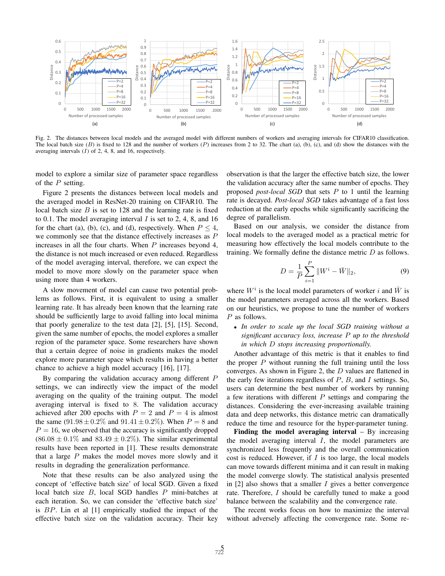

Fig. 2. The distances between local models and the averaged model with different numbers of workers and averaging intervals for CIFAR10 classification. The local batch size  $(B)$  is fixed to 128 and the number of workers  $(P)$  increases from 2 to 32. The chart  $(a)$ ,  $(b)$ ,  $(c)$ , and  $(d)$  show the distances with the averaging intervals  $(I)$  of 2, 4, 8, and 16, respectively.

model to explore a similar size of parameter space regardless of the  $P$  setting.

Figure 2 presents the distances between local models and the averaged model in ResNet-20 training on CIFAR10. The local batch size  $B$  is set to 128 and the learning rate is fixed to 0.1. The model averaging interval  $I$  is set to 2, 4, 8, and 16 for the chart (a), (b), (c), and (d), respectively. When  $P \leq 4$ , we commonly see that the distance effectively increases as P increases in all the four charts. When  $P$  increases beyond 4, the distance is not much increased or even reduced. Regardless of the model averaging interval, therefore, we can expect the model to move more slowly on the parameter space when using more than 4 workers.

A slow movement of model can cause two potential problems as follows. First, it is equivalent to using a smaller learning rate. It has already been known that the learning rate should be sufficiently large to avoid falling into local minima that poorly generalize to the test data [2], [5], [15]. Second, given the same number of epochs, the model explores a smaller region of the parameter space. Some researchers have shown that a certain degree of noise in gradients makes the model explore more parameter space which results in having a better chance to achieve a high model accuracy [16], [17].

By comparing the validation accuracy among different P settings, we can indirectly view the impact of the model averaging on the quality of the training output. The model averaging interval is fixed to 8. The validation accuracy achieved after 200 epochs with  $P = 2$  and  $P = 4$  is almost the same  $(91.98 \pm 0.2\%$  and  $91.41 \pm 0.2\%$ ). When  $P = 8$  and  $P = 16$ , we observed that the accuracy is significantly dropped  $(86.08 \pm 0.1\%$  and  $83.49 \pm 0.2\%$ ). The similar experimental results have been reported in [1]. These results demonstrate that a large  $P$  makes the model moves more slowly and it results in degrading the generalization performance.

Note that these results can be also analyzed using the concept of 'effective batch size' of local SGD. Given a fixed local batch size B, local SGD handles P mini-batches at each iteration. So, we can consider the 'effective batch size' is BP. Lin et al [1] empirically studied the impact of the effective batch size on the validation accuracy. Their key

observation is that the larger the effective batch size, the lower the validation accuracy after the same number of epochs. They proposed *post-local SGD* that sets P to 1 until the learning rate is decayed. *Post-local SGD* takes advantage of a fast loss reduction at the early epochs while significantly sacrificing the degree of parallelism.

Based on our analysis, we consider the distance from local models to the averaged model as a practical metric for measuring how effectively the local models contribute to the training. We formally define the distance metric  $D$  as follows.

$$
D = \frac{1}{P} \sum_{i=1}^{P} ||W^i - \bar{W}||_2,
$$
 (9)

where  $W^i$  is the local model parameters of worker i and  $\bar{W}$  is the model parameters averaged across all the workers. Based on our heuristics, we propose to tune the number of workers P as follows.

• *In order to scale up the local SGD training without a significant accuracy loss, increase* P *up to the threshold in which* D *stops increasing proportionally.*

Another advantage of this metric is that it enables to find the proper  $P$  without running the full training until the loss converges. As shown in Figure 2, the  $D$  values are flattened in the early few iterations regardless of  $P$ ,  $B$ , and  $I$  settings. So, users can determine the best number of workers by running a few iterations with different  $P$  settings and comparing the distances. Considering the ever-increasing available training data and deep networks, this distance metric can dramatically reduce the time and resource for the hyper-parameter tuning.

Finding the model averaging interval  $-$  By increasing the model averaging interval I, the model parameters are synchronized less frequently and the overall communication cost is reduced. However, if  $I$  is too large, the local models can move towards different minima and it can result in making the model converge slowly. The statistical analysis presented in  $[2]$  also shows that a smaller  $I$  gives a better convergence rate. Therefore, I should be carefully tuned to make a good balance between the scalability and the convergence rate.

The recent works focus on how to maximize the interval without adversely affecting the convergence rate. Some re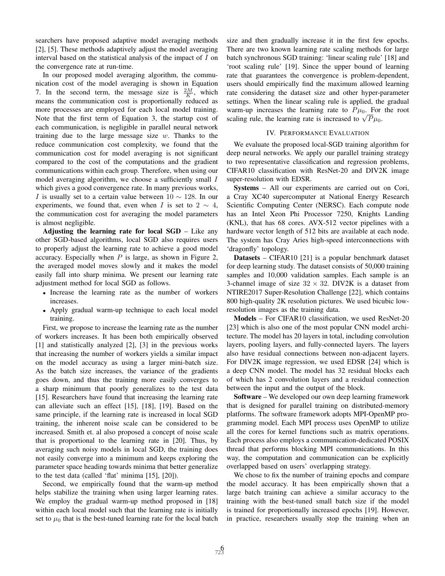searchers have proposed adaptive model averaging methods [2], [5]. These methods adaptively adjust the model averaging interval based on the statistical analysis of the impact of I on the convergence rate at run-time.

In our proposed model averaging algorithm, the communication cost of the model averaging is shown in Equation 7. In the second term, the message size is  $\frac{2M}{K}$ , which means the communication cost is proportionally reduced as more processes are employed for each local model training. Note that the first term of Equation 3, the startup cost of each communication, is negligible in parallel neural network training due to the large message size  $w$ . Thanks to the reduce communication cost complexity, we found that the communication cost for model averaging is not significant compared to the cost of the computations and the gradient communications within each group. Therefore, when using our model averaging algorithm, we choose a sufficiently small I which gives a good convergence rate. In many previous works, I is usually set to a certain value between  $10 \sim 128$ . In our experiments, we found that, even when I is set to 2  $\sim$  4, the communication cost for averaging the model parameters is almost negligible.

Adjusting the learning rate for local SGD – Like any other SGD-based algorithms, local SGD also requires users to properly adjust the learning rate to achieve a good model accuracy. Especially when  $P$  is large, as shown in Figure 2, the averaged model moves slowly and it makes the model easily fall into sharp minima. We present our learning rate adjustment method for local SGD as follows.

- Increase the learning rate as the number of workers increases.
- Apply gradual warm-up technique to each local model training.

First, we propose to increase the learning rate as the number of workers increases. It has been both empirically observed [1] and statistically analyzed [2], [3] in the previous works that increasing the number of workers yields a similar impact on the model accuracy as using a larger mini-batch size. As the batch size increases, the variance of the gradients goes down, and thus the training more easily converges to a sharp minimum that poorly generalizes to the test data [15]. Researchers have found that increasing the learning rate can alleviate such an effect [15], [18], [19]. Based on the same principle, if the learning rate is increased in local SGD training, the inherent noise scale can be considered to be increased. Smith et. al also proposed a concept of noise scale that is proportional to the learning rate in [20]. Thus, by averaging such noisy models in local SGD, the training does not easily converge into a minimum and keeps exploring the parameter space heading towards minima that better generalize to the test data (called 'flat' minima [15], [20]).

Second, we empirically found that the warm-up method helps stabilize the training when using larger learning rates. We employ the gradual warm-up method proposed in [18] within each local model such that the learning rate is initially set to  $\mu_0$  that is the best-tuned learning rate for the local batch size and then gradually increase it in the first few epochs. There are two known learning rate scaling methods for large batch synchronous SGD training: 'linear scaling rule' [18] and 'root scaling rule' [19]. Since the upper bound of learning rate that guarantees the convergence is problem-dependent, users should empirically find the maximum allowed learning rate considering the dataset size and other hyper-parameter settings. When the linear scaling rule is applied, the gradual warm-up increases the learning rate to  $P\mu_0$ . For the root warm-up increases the learning rate to  $P\mu_0$ . For scaling rule, the learning rate is increased to  $\sqrt{P}\mu_0$ .

# IV. PERFORMANCE EVALUATION

We evaluate the proposed local-SGD training algorithm for deep neural networks. We apply our parallel training strategy to two representative classification and regression problems, CIFAR10 classification with ResNet-20 and DIV2K image super-resolution with EDSR.

Systems – All our experiments are carried out on Cori, a Cray XC40 supercomputer at National Energy Research Scientific Computing Center (NERSC). Each compute node has an Intel Xeon Phi Processor 7250, Knights Landing (KNL), that has 68 cores. AVX-512 vector pipelines with a hardware vector length of 512 bits are available at each node. The system has Cray Aries high-speed interconnections with 'dragonfly' topology.

Datasets – CIFAR10 [21] is a popular benchmark dataset for deep learning study. The dataset consists of 50,000 training samples and 10,000 validation samples. Each sample is an 3-channel image of size  $32 \times 32$ . DIV2K is a dataset from NTIRE2017 Super-Resolution Challenge [22], which contains 800 high-quality 2K resolution pictures. We used bicubic lowresolution images as the training data.

Models – For CIFAR10 classification, we used ResNet-20 [23] which is also one of the most popular CNN model architecture. The model has 20 layers in total, including convolution layers, pooling layers, and fully-connected layers. The layers also have residual connections between non-adjacent layers. For DIV2K image regression, we used EDSR [24] which is a deep CNN model. The model has 32 residual blocks each of which has 2 convolution layers and a residual connection between the input and the output of the block.

Software – We developed our own deep learning framework that is designed for parallel training on distributed-memory platforms. The software framework adopts MPI-OpenMP programming model. Each MPI process uses OpenMP to utilize all the cores for kernel functions such as matrix operations. Each process also employs a communication-dedicated POSIX thread that performs blocking MPI communications. In this way, the computation and communication can be explicitly overlapped based on users' overlapping strategy.

We chose to fix the number of training epochs and compare the model accuracy. It has been empirically shown that a large batch training can achieve a similar accuracy to the training with the best-tuned small batch size if the model is trained for proportionally increased epochs [19]. However, in practice, researchers usually stop the training when an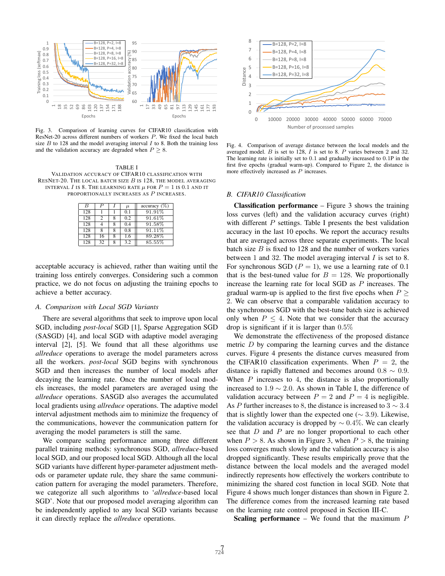

Fig. 3. Comparison of learning curves for CIFAR10 classification with ResNet-20 across different numbers of workers P. We fixed the local batch size  $B$  to 128 and the model averaging interval  $I$  to 8. Both the training loss and the validation accuracy are degraded when  $P > 8$ .

TABLE I VALIDATION ACCURACY OF CIFAR10 CLASSIFICATION WITH RESNET-20. THE LOCAL BATCH SIZE  $B$  is 128, the model averaging INTERVAL I IS 8. THE LEARNING RATE  $\mu$  for  $P = 1$  is 0.1 and it PROPORTIONALLY INCREASES AS P INCREASES.

| B   | D  | $\mu$ | accuracy (%) |
|-----|----|-------|--------------|
| 128 |    | 0.1   | 91.91%       |
| 128 | 7  | 0.2   | 91.61%       |
| 128 |    | 0.4   | $91.58\%$    |
| 128 | 8  | 0.8   | 91.11%       |
| 128 | 16 | 1.6   | 89.28%       |
| 128 | 32 | 3.2   | 85.55%       |

acceptable accuracy is achieved, rather than waiting until the training loss entirely converges. Considering such a common practice, we do not focus on adjusting the training epochs to achieve a better accuracy.

#### *A. Comparison with Local SGD Variants*

There are several algorithms that seek to improve upon local SGD, including *post-local* SGD [1], Sparse Aggregation SGD (SASGD) [4], and local SGD with adaptive model averaging interval [2], [5]. We found that all these algorithms use *allreduce* operations to average the model parameters across all the workers. *post-local* SGD begins with synchronous SGD and then increases the number of local models after decaying the learning rate. Once the number of local models increases, the model parameters are averaged using the *allreduce* operations. SASGD also averages the accumulated local gradients using *allreduce* operations. The adaptive model interval adjustment methods aim to minimize the frequency of the communications, however the communication pattern for averaging the model parameters is still the same.

We compare scaling performance among three different parallel training methods: synchronous SGD, *allreduce*-based local SGD, and our proposed local SGD. Although all the local SGD variants have different hyper-parameter adjustment methods or parameter update rule, they share the same communication pattern for averaging the model parameters. Therefore, we categorize all such algorithms to '*allreduce*-based local SGD'. Note that our proposed model averaging algorithm can be independently applied to any local SGD variants because it can directly replace the *allreduce* operations.



Fig. 4. Comparison of average distance between the local models and the averaged model. B is set to 128, I is set to 8. P varies between 2 and 32. The learning rate is initially set to 0.1 and gradually increased to 0.1P in the first five epochs (gradual warm-up). Compared to Figure 2, the distance is more effectively increased as P increases.

#### *B. CIFAR10 Classification*

**Classification performance** – Figure 3 shows the training loss curves (left) and the validation accuracy curves (right) with different  $P$  settings. Table I presents the best validation accuracy in the last 10 epochs. We report the accuracy results that are averaged across three separate experiments. The local batch size  $B$  is fixed to 128 and the number of workers varies between 1 and 32. The model averaging interval  $I$  is set to 8. For synchronous SGD ( $P = 1$ ), we use a learning rate of 0.1 that is the best-tuned value for  $B = 128$ . We proportionally increase the learning rate for local SGD as P increases. The gradual warm-up is applied to the first five epochs when  $P \geq$ 2. We can observe that a comparable validation accuracy to the synchronous SGD with the best-tune batch size is achieved only when  $P \leq 4$ . Note that we consider that the accuracy drop is significant if it is larger than  $0.5\%$ 

We demonstrate the effectiveness of the proposed distance metric D by comparing the learning curves and the distance curves. Figure 4 presents the distance curves measured from the CIFAR10 classification experiments. When  $P = 2$ , the distance is rapidly flattened and becomes around  $0.8 \sim 0.9$ . When  $P$  increases to 4, the distance is also proportionally increased to  $1.9 \sim 2.0$ . As shown in Table I, the difference of validation accuracy between  $P = 2$  and  $P = 4$  is negligible. As P further increases to 8, the distance is increased to  $3 \sim 3.4$ that is slightly lower than the expected one ( $\sim$  3.9). Likewise, the validation accuracy is dropped by  $\sim 0.4\%$ . We can clearly see that  $D$  and  $P$  are no longer proportional to each other when  $P > 8$ . As shown in Figure 3, when  $P > 8$ , the training loss converges much slowly and the validation accuracy is also dropped significantly. These results empirically prove that the distance between the local models and the averaged model indirectly represents how effectively the workers contribute to minimizing the shared cost function in local SGD. Note that Figure 4 shows much longer distances than shown in Figure 2. The difference comes from the increased learning rate based on the learning rate control proposed in Section III-C.

**Scaling performance** – We found that the maximum  $P$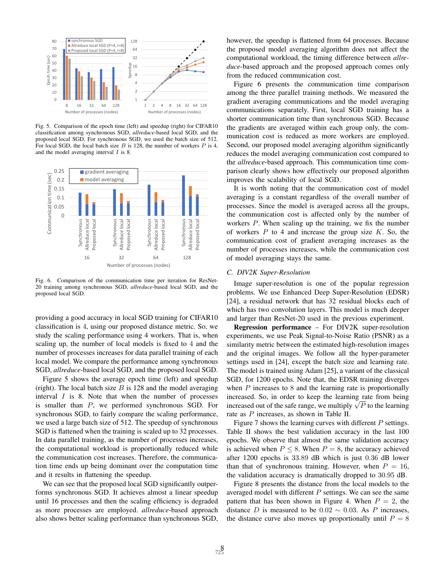

Fig. 5. Comparison of the epoch time (left) and speedup (right) for CIFAR10 classification among synchronous SGD, *allreduce*-based local SGD, and the proposed local SGD. For synchronous SGD, we used the batch size of 512. For local SGD, the local batch size  $B$  is 128, the number of workers  $P$  is 4, and the model averaging interval  $I$  is 8.



Fig. 6. Comparison of the communication time per iteration for ResNet-20 training among synchronous SGD, *allreduce*-based local SGD, and the proposed local SGD.

providing a good accuracy in local SGD training for CIFAR10 classification is 4, using our proposed distance metric. So, we study the scaling performance using 4 workers. That is, when scaling up, the number of local models is fixed to 4 and the number of processes increases for data parallel training of each local model. We compare the performance among synchronous SGD, *allreduce*-based local SGD, and the proposed local SGD.

Figure 5 shows the average epoch time (left) and speedup (right). The local batch size  $B$  is 128 and the model averaging interval  $I$  is 8. Note that when the number of processes is smaller than P, we performed synchronous SGD. For synchronous SGD, to fairly compare the scaling performance, we used a large batch size of 512. The speedup of synchronous SGD is flattened when the training is scaled up to 32 processes. In data parallel training, as the number of processes increases, the computational workload is proportionally reduced while the communication cost increases. Therefore, the communication time ends up being dominant over the computation time and it results in flattening the speedup.

We can see that the proposed local SGD significantly outperforms synchronous SGD. It achieves almost a linear speedup until 16 processes and then the scaling efficiency is degraded as more processes are employed. *allreduce*-based approach also shows better scaling performance than synchronous SGD, however, the speedup is flattened from 64 processes. Because the proposed model averaging algorithm does not affect the computational workload, the timing difference between *allreduce*-based approach and the proposed approach comes only from the reduced communication cost.

Figure 6 presents the communication time comparison among the three parallel training methods. We measured the gradient averaging communications and the model averaging communications separately. First, local SGD training has a shorter communication time than synchronous SGD. Because the gradients are averaged within each group only, the communication cost is reduced as more workers are employed. Second, our proposed model averaging algorithm significantly reduces the model averaging communication cost compared to the *allreduce*-based approach. This communication time comparison clearly shows how effectively our proposed algorithm improves the scalability of local SGD.

It is worth noting that the communication cost of model averaging is a constant regardless of the overall number of processes. Since the model is averaged across all the groups, the communication cost is affected only by the number of workers P. When scaling up the training, we fix the number of workers  $P$  to 4 and increase the group size  $K$ . So, the communication cost of gradient averaging increases as the number of processes increases, while the communication cost of model averaging stays the same.

### *C. DIV2K Super-Resolution*

Image super-resolution is one of the popular regression problems. We use Enhanced Deep Super-Resolution (EDSR) [24], a residual network that has 32 residual blocks each of which has two convolution layers. This model is much deeper and larger than ResNet-20 used in the previous experiment.

Regression performance – For DIV2K super-resolution experiments, we use Peak Signal-to-Noise Ratio (PSNR) as a similarity metric between the estimated high-resolution images and the original images. We follow all the hyper-parameter settings used in [24], except the batch size and learning rate. The model is trained using Adam [25], a variant of the classical SGD, for 1200 epochs. Note that, the EDSR training diverges when  $P$  increases to  $8$  and the learning rate is proportionally increased. So, in order to keep the learning rate from being increased. So, in order to keep the learning rate from being<br>increased out of the safe range, we multiply  $\sqrt{P}$  to the learning rate as P increases, as shown in Table II.

Figure 7 shows the learning curves with different  $P$  settings. Table II shows the best validation accuracy in the last 100 epochs. We observe that almost the same validation accuracy is achieved when  $P \leq 8$ . When  $P = 8$ , the accuracy achieved after 1200 epochs is 33.89 dB which is just 0.36 dB lower than that of synchronous training. However, when  $P = 16$ , the validation accuracy is dramatically dropped to 30.95 dB.

Figure 8 presents the distance from the local models to the averaged model with different  $P$  settings. We can see the same pattern that has been shown in Figure 4. When  $P = 2$ , the distance D is measured to be 0.02  $\sim$  0.03. As P increases, the distance curve also moves up proportionally until  $P = 8$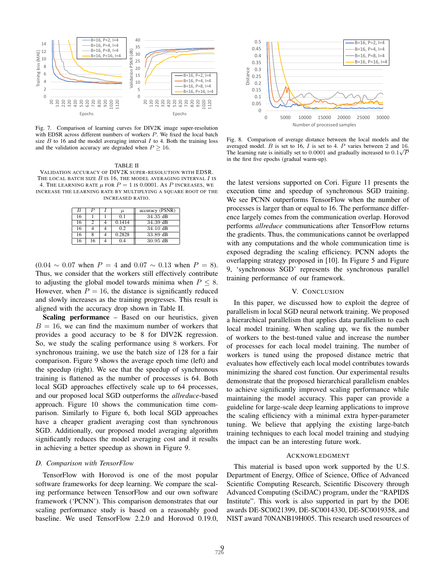

Fig. 7. Comparison of learning curves for DIV2K image super-resolution with EDSR across different numbers of workers P. We fixed the local batch size  $B$  to 16 and the model averaging interval  $I$  to 4. Both the training loss and the validation accuracy are degraded when  $P \ge 16$ .

#### TABLE II

VALIDATION ACCURACY OF DIV2K SUPER-RESOLUTION WITH EDSR. THE LOCAL BATCH SIZE  $B$  is 16, the model averaging interval  $I$  is 4. THE LEARNING RATE  $\mu$  FOR  $P = 1$  is 0.0001. As P INCREASES, WE INCREASE THE LEARNING RATE BY MULTIPLYING A SQUARE ROOT OF THE INCREASED RATIO.

| $\boldsymbol{B}$ | P  | $\mu$          | accuracy (PSNR)    |
|------------------|----|----------------|--------------------|
| 16               |    | 0 <sub>1</sub> | 34.35 dB           |
| 16               |    | 0.1414         | 34.39 dB           |
| 16               |    | 02             | 34.10 dB           |
| 16               |    | 0.2828         | 33.89 dB           |
| 16               | 16 |                | $30.95 \text{ dB}$ |

 $(0.04 \sim 0.07$  when  $P = 4$  and  $0.07 \sim 0.13$  when  $P = 8$ ). Thus, we consider that the workers still effectively contribute to adjusting the global model towards minima when  $P \leq 8$ . However, when  $P = 16$ , the distance is significantly reduced and slowly increases as the training progresses. This result is aligned with the accuracy drop shown in Table II.

Scaling performance – Based on our heuristics, given  $B = 16$ , we can find the maximum number of workers that provides a good accuracy to be 8 for DIV2K regression. So, we study the scaling performance using 8 workers. For synchronous training, we use the batch size of 128 for a fair comparison. Figure 9 shows the average epoch time (left) and the speedup (right). We see that the speedup of synchronous training is flattened as the number of processes is 64. Both local SGD approaches effectively scale up to 64 processes, and our proposed local SGD outperforms the *allreduce*-based approach. Figure 10 shows the communication time comparison. Similarly to Figure 6, both local SGD approaches have a cheaper gradient averaging cost than synchronous SGD. Additionally, our proposed model averaging algorithm significantly reduces the model averaging cost and it results in achieving a better speedup as shown in Figure 9.

#### *D. Comparison with TensorFlow*

TensorFlow with Horovod is one of the most popular software frameworks for deep learning. We compare the scaling performance between TensorFlow and our own software framework ('PCNN'). This comparison demonstrates that our scaling performance study is based on a reasonably good baseline. We used TensorFlow 2.2.0 and Horovod 0.19.0,



Fig. 8. Comparison of average distance between the local models and the averaged model. B is set to 16, I is set to 4. P varies between 2 and  $\frac{16}{\sqrt{2}}$ The learning rate is initially set to 0.0001 and gradually increased to  $0.1\sqrt{P}$ in the first five epochs (gradual warm-up).

the latest versions supported on Cori. Figure 11 presents the execution time and speedup of synchronous SGD training. We see PCNN outperforms TensorFlow when the number of processes is larger than or equal to 16. The performance difference largely comes from the communication overlap. Horovod performs *allreduce* communications after TensorFlow returns the gradients. Thus, the communications cannot be overlapped with any computations and the whole communication time is exposed degrading the scaling efficiency. PCNN adopts the overlapping strategy proposed in [10]. In Figure 5 and Figure 9, 'synchronous SGD' represents the synchronous parallel training performance of our framework.

## V. CONCLUSION

In this paper, we discussed how to exploit the degree of parallelism in local SGD neural network training. We proposed a hierarchical parallelism that applies data parallelism to each local model training. When scaling up, we fix the number of workers to the best-tuned value and increase the number of processes for each local model training. The number of workers is tuned using the proposed distance metric that evaluates how effectively each local model contributes towards minimizing the shared cost function. Our experimental results demonstrate that the proposed hierarchical parallelism enables to achieve significantly improved scaling performance while maintaining the model accuracy. This paper can provide a guideline for large-scale deep learning applications to improve the scaling efficiency with a minimal extra hyper-parameter tuning. We believe that applying the existing large-batch training techniques to each local model training and studying the impact can be an interesting future work.

#### ACKNOWLEDGMENT

This material is based upon work supported by the U.S. Department of Energy, Office of Science, Office of Advanced Scientific Computing Research, Scientific Discovery through Advanced Computing (SciDAC) program, under the "RAPIDS Institute". This work is also supported in part by the DOE awards DE-SC0021399, DE-SC0014330, DE-SC0019358, and NIST award 70NANB19H005. This research used resources of